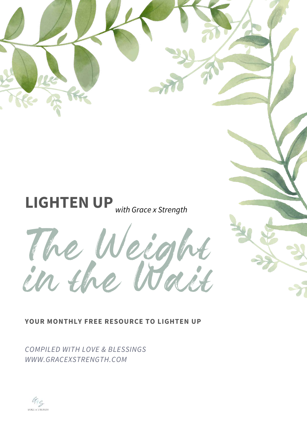



**YOUR MONTHLY FREE RESOURCE TO LIGHTEN UP**

*COMPILED WITH LOVE & BLESSINGS WWW.GRACEXSTRENGTH.COM*

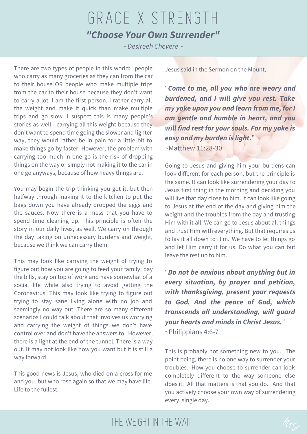## GRACE X STRENGTH *"Choose Your Own Surrender"*

*~ Desireeh Chevere ~*

There are two types of people in this world: people who carry as many groceries as they can from the car to their house OR people who make multiple trips from the car to their house because they don't want to carry a lot. I am the first person. I rather carry all the weight and make it quick than make multiple trips and go slow. I suspect this is many people's stories as well - carrying all this weight because they don't want to spend time going the slower and lighter way, they would rather be in pain for a little bit to make things go by faster. However, the problem with carrying too much in one go is the risk of dropping things on the way or simply not making it to the car in one go anyways, because of how heavy things are.

You may begin the trip thinking you got it, but then halfway through making it to the kitchen to put the bags down you have already dropped the eggs and the sauces. Now there is a mess that you have to spend time cleaning up. This principle is often the story in our daily lives, as well. We carry on through the day taking on unnecessary burdens and weight, because we think we can carry them.

This may look like carrying the weight of trying to figure out how you are going to feed your family, pay the bills, stay on top of work and have somewhat of a social life while also trying to avoid getting the Coronavirus. This may look like trying to figure out trying to stay sane living alone with no job and seemingly no way out. There are so many different scenarios I could talk about that involves us worrying and carrying the weight of things we don't have control over and don't have the answers to. However, there is a light at the end of the tunnel. There is a way out. It may not look like how you want but it is still a way forward.

This good news is Jesus, who died on a cross for me and you, but who rose again so that we may have life. Life to the fullest.

Jesus said in the Sermon on the Mount,

"*Come to me, all you who are weary and burdened, and I will give you rest. Take my yoke upon you and learn from me, for I am gentle and humble in heart, and you will find rest for your souls. For my yoke is easy and my burden is light.*" ~Matthew 11:28-30

Going to Jesus and giving him your burdens can look different for each person, but the principle is the same. It can look like surrendering your day to Jesus first thing in the morning and deciding you will live that day close to him. It can look like going to Jesus at the end of the day and giving him the weight and the troubles from the day and trusting Him with it all. We can go to Jesus about all things and trust Him with everything. But that requires us to lay it all down to Him. We have to let things go and let Him carry it for us. Do what you can but leave the rest up to him.

"*Do not be anxious about anything but in every situation, by prayer and petition, with thanksgiving, present your requests to God. And the peace of God, which transcends all understanding, will guard your hearts and minds in Christ Jesus.*" ~Philippians 4:6-7

This is probably not something new to you. The point being, there is no one way to surrender your troubles. How you choose to surrender can look completely different to the way someone else does it. All that matters is that you do. And that you actively choose your own way of surrendering every, single day.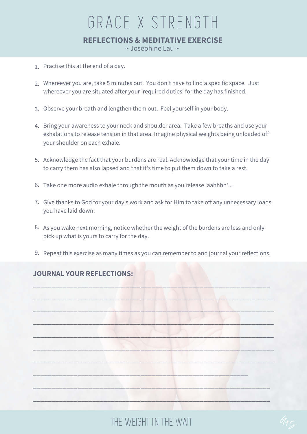## GRACE X STRENGTH **REFLECTIONS & MEDITATIVE EXERCISE** ~ Josephine Lau ~

- 1. Practise this at the end of a day.
- 2. Whereever you are, take 5 minutes out. You don't have to find a specific space. Just whereever you are situated after your 'required duties' for the day has finished.
- 3. Observe your breath and lengthen them out. Feel yourself in your body.
- 4. Bring your awareness to your neck and shoulder area. Take a few breaths and use your exhalations to release tension in that area. Imagine physical weights being unloaded off your shoulder on each exhale.
- 5. Acknowledge the fact that your burdens are real. Acknowledge that your time in the day to carry them has also lapsed and that it's time to put them down to take a rest.
- 6. Take one more audio exhale through the mouth as you release 'aahhhh'...
- 7. Give thanks to God for your day's work and ask for Him to take off any unnecessary loads you have laid down.
- 8. As you wake next morning, notice whether the weight of the burdens are less and only pick up what is yours to carry for the day.
- 9. Repeat this exercise as many times as you can remember to and journal your reflections.

\_\_\_\_\_\_\_\_\_\_\_\_\_\_\_\_\_\_\_\_\_\_\_\_\_\_\_\_\_\_\_\_\_\_\_\_\_\_\_\_\_\_\_\_\_\_\_\_\_\_\_\_\_\_\_\_\_\_\_\_\_\_\_\_

 $\overline{\phantom{a}}$  , and the set of the set of the set of the set of the set of the set of the set of the set of the set of the set of the set of the set of the set of the set of the set of the set of the set of the set of the s

\_\_\_\_\_\_\_\_\_\_\_\_\_\_\_\_\_\_\_\_\_\_\_\_\_\_\_\_\_\_\_\_\_\_\_\_\_\_\_\_\_\_\_\_\_\_\_\_\_\_\_\_\_\_\_\_\_\_\_\_\_\_\_\_\_

\_\_\_\_\_\_\_\_\_\_\_\_\_\_\_\_\_\_\_\_\_\_\_\_\_\_\_\_\_\_\_\_\_\_\_\_\_\_\_\_\_\_\_\_\_\_\_\_\_\_\_\_\_\_\_\_\_\_\_\_\_\_\_\_\_

 $\mathcal{L} \left( \mathcal{L} \right) = \mathcal{L} \left( \mathcal{L} \right)$ 

\_\_\_\_\_\_\_\_\_\_\_\_\_\_\_\_\_\_\_\_\_\_\_\_\_\_\_\_\_\_\_\_\_\_\_\_\_\_\_\_\_\_\_\_\_\_\_\_\_\_\_\_\_\_\_\_\_\_\_\_\_\_\_\_\_

 $\mathcal{L}=\{x_1,\ldots,x_n\}$  , we can also an expectation of  $\mathcal{L}$ 

 $\_$  , and the set of the set of  $\mathcal{M}$  , and the set of the set of the set of the set of the set of the set of the set of the set of the set of the set of the set of the set of the set of the set of the set of the set o

\_\_\_\_\_\_\_\_\_\_\_\_\_\_\_\_\_\_\_\_\_\_\_\_\_\_\_\_\_\_\_\_\_\_\_\_\_\_\_\_\_\_\_\_\_\_\_\_\_\_\_\_\_\_\_\_\_\_\_\_\_\_\_\_

\_\_\_\_\_\_\_\_\_\_\_\_\_\_\_\_\_\_\_\_\_\_\_\_\_\_\_\_\_\_\_\_\_\_\_\_\_\_\_\_\_\_\_\_\_\_\_\_\_\_\_\_\_\_\_\_\_\_

#### **JOURNAL YOUR REFLECTIONS:**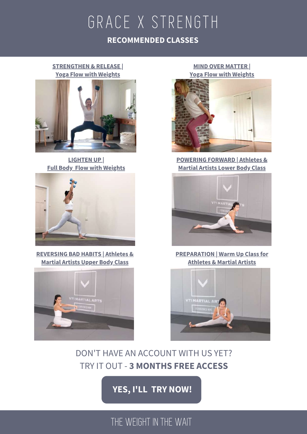## THE WEIGHT IN THE WAIT

### **YES, I'LL TRY NOW!**

## DON'T HAVE AN ACCOUNT WITH US YET? TRY IT OUT - **3 MONTHS FREE ACCESS**

GRACE X STRENGTH

**RECOMMENDED CLASSES**



**REVERSING BAD HABITS | Athletes & Martial Artists Upper Body Class**



**LIGHTEN UP |**

**STRENGTHEN & RELEASE | Yoga Flow with Weights**

**MIND OVER MATTER | Yoga Flow with Weights**



**POWERING FORWARD | Athletes & Martial Artists Lower Body Class**



**PREPARATION | Warm Up Class for Athletes & Martial Artists**

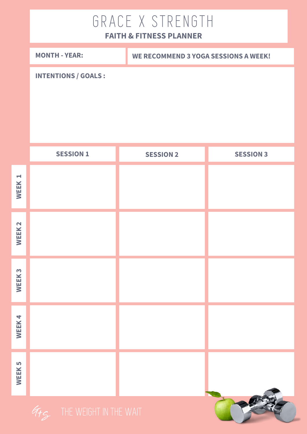# GRACE X STRENGTH

## **FAITH & FITNESS PLANNER**

|                               | <b>MONTH - YEAR:</b>        |  | <b>WE RECOMMEND 3 YOGA SESSIONS A WEEK!</b> |                  |
|-------------------------------|-----------------------------|--|---------------------------------------------|------------------|
|                               | <b>INTENTIONS / GOALS :</b> |  |                                             |                  |
|                               | <b>SESSION 1</b>            |  | <b>SESSION 2</b>                            | <b>SESSION 3</b> |
| $\blacktriangleright$<br>WEEK |                             |  |                                             |                  |
| WEEK <sub>2</sub>             |                             |  |                                             |                  |
| WEEK <sub>3</sub>             |                             |  |                                             |                  |
| WEEK4                         |                             |  |                                             |                  |
| <b>WEEK5</b>                  |                             |  |                                             | $\sqrt{2}$       |

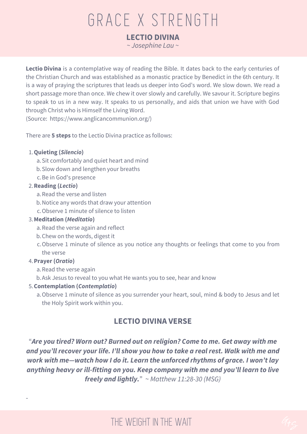# GRACE X STRENGTH

**LECTIO DIVINA**

*~ Josephine Lau ~*

**Lectio Divina** is a contemplative way of reading the Bible. It dates back to the early centuries of the Christian Church and was established as a monastic practice by Benedict in the 6th century. It is a way of praying the scriptures that leads us deeper into God's word. We slow down. We read a short passage more than once. We chew it over slowly and carefully. We savour it. Scripture begins to speak to us in a new way. It speaks to us personally, and aids that union we have with God through Christ who is Himself the Living Word.

(Source: https://www.anglicancommunion.org/)

There are **5 steps** to the Lectio Divina practice as follows:

#### **Quieting (***Silencio***)** 1.

- a. Sit comfortably and quiet heart and mind
- b. Slow down and lengthen your breaths
- c. Be in God's presence

#### **Reading (***Lectio***)** 2.

- a. Read the verse and listen
- Notice any words that draw your attention b.
- Observe 1 minute of silence to listen c.

#### **Meditation (***Meditatio***)** 3.

- a. Read the verse again and reflect
- b. Chew on the words, digest it
- c.Observe 1 minute of silence as you notice any thoughts or feelings that come to you from the verse

#### **Prayer (***Oratio***)** 4.

-

- a. Read the verse again
- Ask Jesus to reveal to you what He wants you to see, hear and know b.

#### **Contemplation (***Contemplatio***)** 5.

a. Observe 1 minute of silence as you surrender your heart, soul, mind & body to Jesus and let the Holy Spirit work within you.

#### **LECTIO DIVINA VERSE**

"*Are you tired? Worn out? Burned out on religion? Come to me. Get away with me and you'll recover your life. I'll show you how to take a real rest. Walk with me and work with me—watch how I do it. Learn the unforced rhythms of grace. I won't lay anything heavy or ill-fitting on you. Keep company with me and you'll learn to live freely and lightly.*" ~ *Matthew 11:28-30 (MSG)*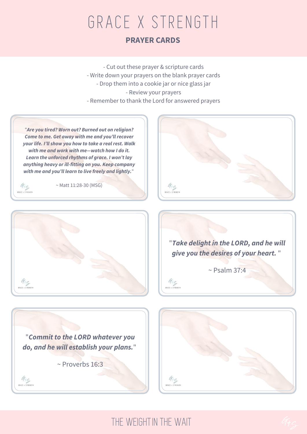# GRACE X STRENGTH **PRAYER CARDS**

- Cut out these prayer & scripture cards - Write down your prayers on the blank prayer cards - Drop them into a cookie jar or nice glass jar - Review your prayers - Remember to thank the Lord for answered prayers

"*Are you tired? Worn out? Burned out on religion? Come to me. Get away with me and you'll recover your life. I'll show you how to take a real rest. Walk with me and work with me—watch how I do it. Learn the unforced rhythms of grace. I won't lay anything heavy or ill-fitting on you. Keep company with me and you'll learn to live freely and lightly.*"

 $45$ **GRACE & STRENGTH** 

 $\begin{array}{cc} G_{\dagger} & G \\ \text{grate } x \text{ sinteriorh} \end{array}$ 

~ Matt 11:28-30 (MSG)





"*Take delight in the LORD, and he will give you the desires of your heart.* "  $\sim$  Psalm 37:4

"*Commit to the LORD whatever you do, and he will establish your plans.*"

~ Proverbs 16:3



THE WEIGHTIN THE WAIT

 $45$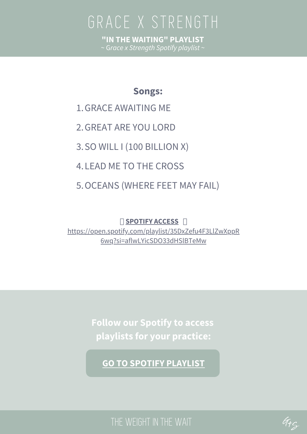GRACE X STRENGTH GRACE X STRENGTH **"IN THE WAITING" PLAYLIST** ~ G*race x Strength Spotify playlist* ~

### **Songs:**

- 1. GRACE AWAITING ME
- GREAT ARE YOU LORD 2.
- 3. SO WILL I (100 BILLION X)
- 4. LEAD ME TO THE CROSS
- 5. OCEANS (WHERE FEET MAY FAIL)

 **SPOTIFY ACCESS** https://open.spotify.com/playlist/35DxZefu4F3LlZwXppR 6wq?si=aflwLYicSDO33dHSlBTeMw

> **Follow our Spotify to access playlists for your practice:**

**GO TO SPOTIFY PLAYLIST**

THE WEIGHT IN THE WAIT

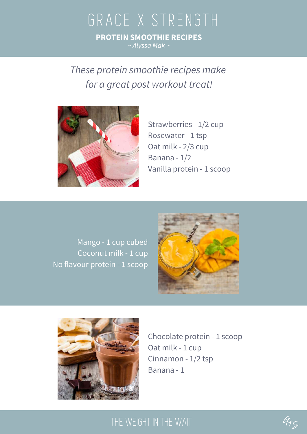## GRACE X STRENGTH **PROTEIN SMOOTHIE RECIPES** *~ Alyssa Mak ~*

*These protein smoothie recipes make for a great post workout treat!*



Strawberries - 1/2 cup Rosewater - 1 tsp Oat milk - 2/3 cup Banana - 1/2 Vanilla protein - 1 scoop

Mango - 1 cup cubed Coconut milk - 1 cup No flavour protein - 1 scoop





Chocolate protein - 1 scoop Oat milk - 1 cup Cinnamon - 1/2 tsp Banana - 1

## THE WEIGHT IN THE WAIT